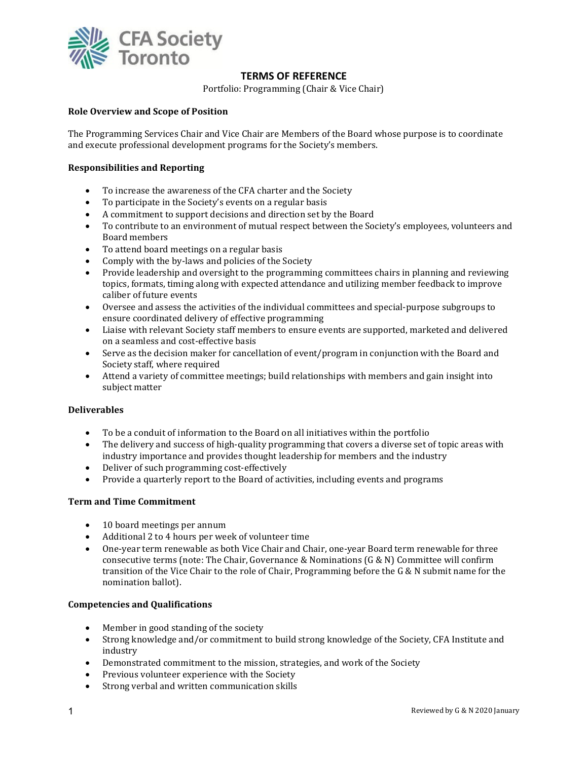

# **TERMS OF REFERENCE**

Portfolio: Programming (Chair & Vice Chair)

## **Role Overview and Scope of Position**

The Programming Services Chair and Vice Chair are Members of the Board whose purpose is to coordinate and execute professional development programs for the Society's members.

### **Responsibilities and Reporting**

- To increase the awareness of the CFA charter and the Society
- To participate in the Society's events on a regular basis
- A commitment to support decisions and direction set by the Board<br>• To contribute to an environment of mutual respect between the So
- To contribute to an environment of mutual respect between the Society's employees, volunteers and Board members
- To attend board meetings on a regular basis
- Comply with the by-laws and policies of the Society
- Provide leadership and oversight to the programming committees chairs in planning and reviewing topics, formats, timing along with expected attendance and utilizing member feedback to improve caliber of future events
- Oversee and assess the activities of the individual committees and special-purpose subgroups to ensure coordinated delivery of effective programming
- Liaise with relevant Society staff members to ensure events are supported, marketed and delivered on a seamless and cost-effective basis
- Serve as the decision maker for cancellation of event/program in conjunction with the Board and Society staff, where required
- Attend a variety of committee meetings; build relationships with members and gain insight into subject matter

#### **Deliverables**

- To be a conduit of information to the Board on all initiatives within the portfolio
- The delivery and success of high-quality programming that covers a diverse set of topic areas with industry importance and provides thought leadership for members and the industry
- Deliver of such programming cost-effectively
- Provide a quarterly report to the Board of activities, including events and programs

#### **Term and Time Commitment**

- 10 board meetings per annum
- Additional 2 to 4 hours per week of volunteer time
- One-year term renewable as both Vice Chair and Chair, one-year Board term renewable for three consecutive terms (note: The Chair, Governance & Nominations (G & N) Committee will confirm transition of the Vice Chair to the role of Chair, Programming before the G & N submit name for the nomination ballot).

#### **Competencies and Qualifications**

- Member in good standing of the society
- Strong knowledge and/or commitment to build strong knowledge of the Society, CFA Institute and industry
- Demonstrated commitment to the mission, strategies, and work of the Society
- Previous volunteer experience with the Society
- Strong verbal and written communication skills